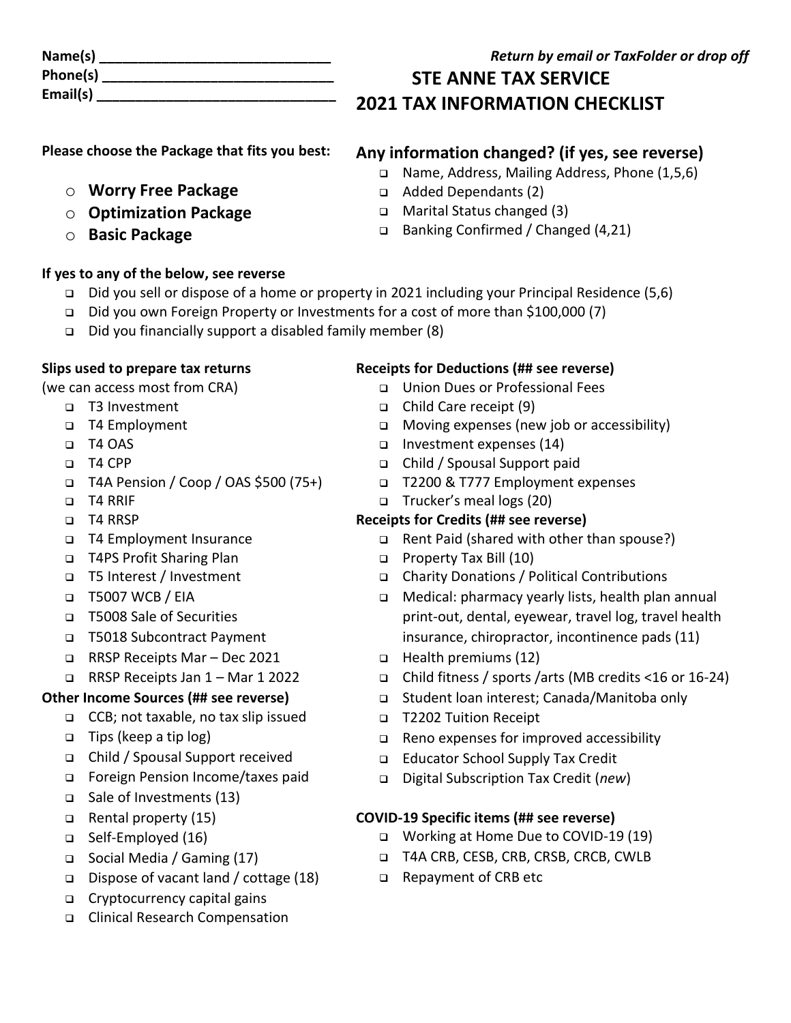| Name(s)  |  |
|----------|--|
| Phone(s) |  |
| Email(s) |  |

#### **Return by email or TaxFolder or drop off**

# **STE ANNE TAX SERVICE 2021 TAX INFORMATION CHECKLIST**

❑ Banking Confirmed / Changed (4,21)

**Any information changed? (if yes, see reverse)** ❑ Name, Address, Mailing Address, Phone (1,5,6)

**Please choose the Package that fits you best:**

- o **Worry Free Package**
- o **Optimization Package**
- o **Basic Package**

#### **If yes to any of the below, see reverse**

- ❑ Did you sell or dispose of a home or property in 2021 including your Principal Residence (5,6)
- ❑ Did you own Foreign Property or Investments for a cost of more than \$100,000 (7)
- ❑ Did you financially support a disabled family member (8)

#### **Slips used to prepare tax returns**

(we can access most from CRA)

- ❑ T3 Investment
- ❑ T4 Employment
- ❑ T4 OAS
- ❑ T4 CPP
- ❑ T4A Pension / Coop / OAS \$500 (75+)
- ❑ T4 RRIF
- ❑ T4 RRSP
- ❑ T4 Employment Insurance
- ❑ T4PS Profit Sharing Plan
- ❑ T5 Interest / Investment
- ❑ T5007 WCB / EIA
- ❑ T5008 Sale of Securities
- ❑ T5018 Subcontract Payment
- ❑ RRSP Receipts Mar Dec 2021
- ❑ RRSP Receipts Jan 1 Mar 1 2022

## **Other Income Sources (## see reverse)**

- ❑ CCB; not taxable, no tax slip issued
- ❑ Tips (keep a tip log)
- ❑ Child / Spousal Support received
- ❑ Foreign Pension Income/taxes paid
- ❑ Sale of Investments (13)
- ❑ Rental property (15)
- ❑ Self-Employed (16)
- ❑ Social Media / Gaming (17)
- ❑ Dispose of vacant land / cottage (18)
- ❑ Cryptocurrency capital gains
- ❑ Clinical Research Compensation

### **Receipts for Deductions (## see reverse)**

- ❑ Union Dues or Professional Fees
- ❑ Child Care receipt (9)

❑ Added Dependants (2) ❑ Marital Status changed (3)

- ❑ Moving expenses (new job or accessibility)
- ❑ Investment expenses (14)
- ❑ Child / Spousal Support paid
- ❑ T2200 & T777 Employment expenses
- ❑ Trucker's meal logs (20)

#### **Receipts for Credits (## see reverse)**

- ❑ Rent Paid (shared with other than spouse?)
- ❑ Property Tax Bill (10)
- ❑ Charity Donations / Political Contributions
- ❑ Medical: pharmacy yearly lists, health plan annual print-out, dental, eyewear, travel log, travel health insurance, chiropractor, incontinence pads (11)
- ❑ Health premiums (12)
- ❑ Child fitness / sports /arts (MB credits <16 or 16-24)
- ❑ Student loan interest; Canada/Manitoba only
- ❑ T2202 Tuition Receipt
- ❑ Reno expenses for improved accessibility
- ❑ Educator School Supply Tax Credit
- ❑ Digital Subscription Tax Credit (*new*)

#### **COVID-19 Specific items (## see reverse)**

- ❑ Working at Home Due to COVID-19 (19)
- ❑ T4A CRB, CESB, CRB, CRSB, CRCB, CWLB
- ❑ Repayment of CRB etc